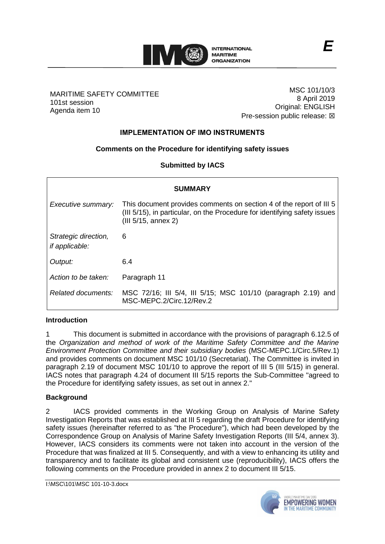

#### MARITIME SAFETY COMMITTEE 101st session Agenda item 10

MSC 101/10/3 8 April 2019 Original: ENGLISH Pre-session public release:  $\boxtimes$ 

# **IMPLEMENTATION OF IMO INSTRUMENTS**

## **Comments on the Procedure for identifying safety issues**

## **Submitted by IACS**

| <b>SUMMARY</b>                                |                                                                                                                                                                         |
|-----------------------------------------------|-------------------------------------------------------------------------------------------------------------------------------------------------------------------------|
| Executive summary:                            | This document provides comments on section 4 of the report of III 5<br>(III 5/15), in particular, on the Procedure for identifying safety issues<br>(III 5/15, annex 2) |
| Strategic direction,<br><i>if applicable:</i> | 6                                                                                                                                                                       |
| Output:                                       | 6.4                                                                                                                                                                     |
| Action to be taken:                           | Paragraph 11                                                                                                                                                            |
| Related documents:                            | MSC 72/16; III 5/4, III 5/15; MSC 101/10 (paragraph 2.19) and<br>MSC-MEPC.2/Circ.12/Rev.2                                                                               |

#### **Introduction**

1 This document is submitted in accordance with the provisions of paragraph 6.12.5 of the *Organization and method of work of the Maritime Safety Committee and the Marine Environment Protection Committee and their subsidiary bodies* (MSC-MEPC.1/Circ.5/Rev.1) and provides comments on document MSC 101/10 (Secretariat). The Committee is invited in paragraph 2.19 of document MSC 101/10 to approve the report of III 5 (III 5/15) in general. IACS notes that paragraph 4.24 of document III 5/15 reports the Sub-Committee "agreed to the Procedure for identifying safety issues, as set out in annex 2."

#### **Background**

2 IACS provided comments in the Working Group on Analysis of Marine Safety Investigation Reports that was established at III 5 regarding the draft Procedure for identifying safety issues (hereinafter referred to as "the Procedure"), which had been developed by the Correspondence Group on Analysis of Marine Safety Investigation Reports (III 5/4, annex 3). However, IACS considers its comments were not taken into account in the version of the Procedure that was finalized at III 5. Consequently, and with a view to enhancing its utility and transparency and to facilitate its global and consistent use (reproducibility), IACS offers the following comments on the Procedure provided in annex 2 to document III 5/15.

I:\MSC\101\MSC 101-10-3.docx

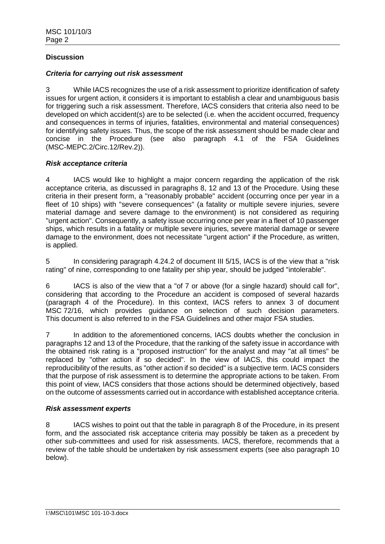## **Discussion**

#### *Criteria for carrying out risk assessment*

3 While IACS recognizes the use of a risk assessment to prioritize identification of safety issues for urgent action, it considers it is important to establish a clear and unambiguous basis for triggering such a risk assessment. Therefore, IACS considers that criteria also need to be developed on which accident(s) are to be selected (i.e. when the accident occurred, frequency and consequences in terms of injuries, fatalities, environmental and material consequences) for identifying safety issues. Thus, the scope of the risk assessment should be made clear and concise in the Procedure (see also paragraph 4.1 of the FSA Guidelines (MSC-MEPC.2/Circ.12/Rev.2)).

## *Risk acceptance criteria*

4 IACS would like to highlight a major concern regarding the application of the risk acceptance criteria, as discussed in paragraphs 8, 12 and 13 of the Procedure. Using these criteria in their present form, a "reasonably probable" accident (occurring once per year in a fleet of 10 ships) with "severe consequences" (a fatality or multiple severe injuries, severe material damage and severe damage to the environment) is not considered as requiring "urgent action". Consequently, a safety issue occurring once per year in a fleet of 10 passenger ships, which results in a fatality or multiple severe injuries, severe material damage or severe damage to the environment, does not necessitate "urgent action" if the Procedure, as written, is applied.

5 In considering paragraph 4.24.2 of document III 5/15, IACS is of the view that a "risk rating" of nine, corresponding to one fatality per ship year, should be judged "intolerable".

6 IACS is also of the view that a "of 7 or above (for a single hazard) should call for", considering that according to the Procedure an accident is composed of several hazards (paragraph 4 of the Procedure). In this context, IACS refers to annex 3 of document MSC 72/16, which provides guidance on selection of such decision parameters. This document is also referred to in the FSA Guidelines and other major FSA studies.

7 In addition to the aforementioned concerns, IACS doubts whether the conclusion in paragraphs 12 and 13 of the Procedure, that the ranking of the safety issue in accordance with the obtained risk rating is a "proposed instruction" for the analyst and may "at all times" be replaced by "other action if so decided". In the view of IACS, this could impact the reproducibility of the results, as "other action if so decided" is a subjective term. IACS considers that the purpose of risk assessment is to determine the appropriate actions to be taken. From this point of view, IACS considers that those actions should be determined objectively, based on the outcome of assessments carried out in accordance with established acceptance criteria.

#### *Risk assessment experts*

8 IACS wishes to point out that the table in paragraph 8 of the Procedure, in its present form, and the associated risk acceptance criteria may possibly be taken as a precedent by other sub-committees and used for risk assessments. IACS, therefore, recommends that a review of the table should be undertaken by risk assessment experts (see also paragraph 10 below).